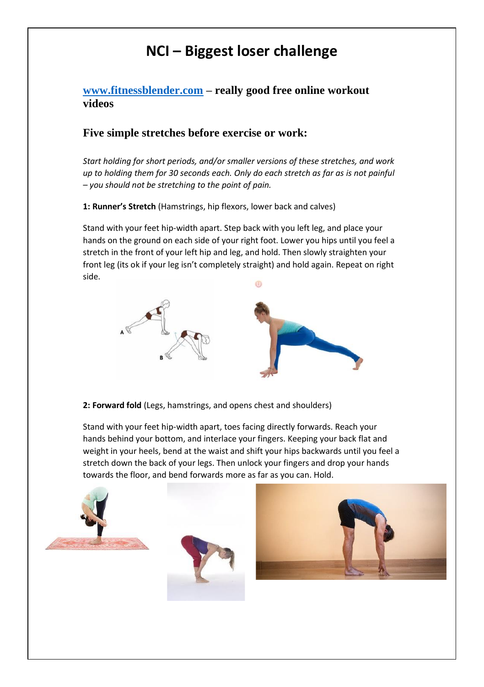#### **[www.fitnessblender.com](http://www.fitnessblender.com/) – really good free online workout videos**

#### **Five simple stretches before exercise or work:**

*Start holding for short periods, and/or smaller versions of these stretches, and work up to holding them for 30 seconds each. Only do each stretch as far as is not painful – you should not be stretching to the point of pain.* 

**1: Runner's Stretch** (Hamstrings, hip flexors, lower back and calves)

Stand with your feet hip-width apart. Step back with you left leg, and place your hands on the ground on each side of your right foot. Lower you hips until you feel a stretch in the front of your left hip and leg, and hold. Then slowly straighten your front leg (its ok if your leg isn't completely straight) and hold again. Repeat on right side.



**2: Forward fold** (Legs, hamstrings, and opens chest and shoulders)

Stand with your feet hip-width apart, toes facing directly forwards. Reach your hands behind your bottom, and interlace your fingers. Keeping your back flat and weight in your heels, bend at the waist and shift your hips backwards until you feel a stretch down the back of your legs. Then unlock your fingers and drop your hands towards the floor, and bend forwards more as far as you can. Hold.

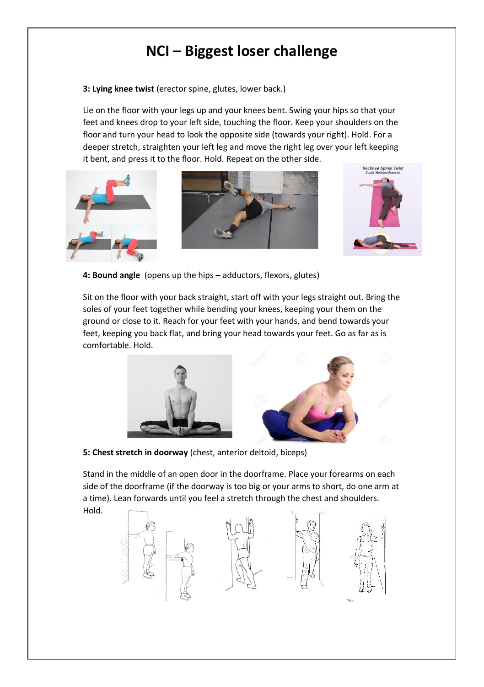**3: Lying knee twist** (erector spine, glutes, lower back.)

Lie on the floor with your legs up and your knees bent. Swing your hips so that your feet and knees drop to your left side, touching the floor. Keep your shoulders on the floor and turn your head to look the opposite side (towards your right). Hold. For a deeper stretch, straighten your left leg and move the right leg over your left keeping it bent, and press it to the floor. Hold. Repeat on the other side.







**4: Bound angle** (opens up the hips – adductors, flexors, glutes)

Sit on the floor with your back straight, start off with your legs straight out. Bring the soles of your feet together while bending your knees, keeping your them on the ground or close to it. Reach for your feet with your hands, and bend towards your feet, keeping you back flat, and bring your head towards your feet. Go as far as is comfortable. Hold.





**5: Chest stretch in doorway** (chest, anterior deltoid, biceps)

Stand in the middle of an open door in the doorframe. Place your forearms on each side of the doorframe (if the doorway is too big or your arms to short, do one arm at a time). Lean forwards until you feel a stretch through the chest and shoulders. Hold.

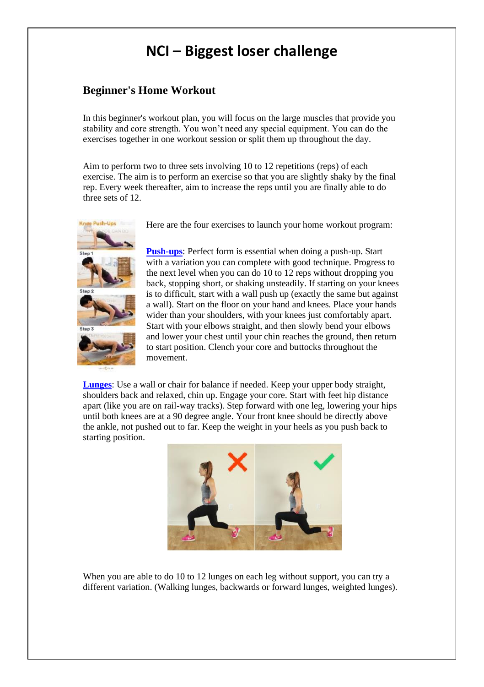#### **Beginner's Home Workout**

In this beginner's workout plan, you will focus on the large muscles that provide you stability and core strength. You won't need any special equipment. You can do the exercises together in one workout session or split them up throughout the day.

Aim to perform two to three sets involving 10 to 12 repetitions (reps) of each exercise. The aim is to perform an exercise so that you are slightly shaky by the final rep. Every week thereafter, aim to increase the reps until you are finally able to do three sets of 12.



Here are the four exercises to launch your home workout program:

**[Push-ups](https://www.verywellfit.com/pushup-variations-modifications-and-mistakes-1231030)**: Perfect form is essential when doing a push-up. Start with a variation you can complete with good technique. Progress to the next level when you can do 10 to 12 reps without dropping you back, stopping short, or shaking unsteadily. If starting on your knees is to difficult, start with a wall push up (exactly the same but against a wall). Start on the floor on your hand and knees. Place your hands wider than your shoulders, with your knees just comfortably apart. Start with your elbows straight, and then slowly bend your elbows and lower your chest until your chin reaches the ground, then return to start position. Clench your core and buttocks throughout the movement.

**[Lunges](https://www.verywellfit.com/lunges-for-the-hips-glutes-and-thighs-1231321)**: Use a wall or chair for balance if needed. Keep your upper body straight, shoulders back and relaxed, chin up. Engage your core. Start with feet hip distance apart (like you are on rail-way tracks). Step forward with one leg, lowering your hips until both knees are at a 90 degree angle. Your front knee should be directly above the ankle, not pushed out to far. Keep the weight in your heels as you push back to starting position.



When you are able to do 10 to 12 lunges on each leg without support, you can try a different variation. (Walking lunges, backwards or forward lunges, weighted lunges).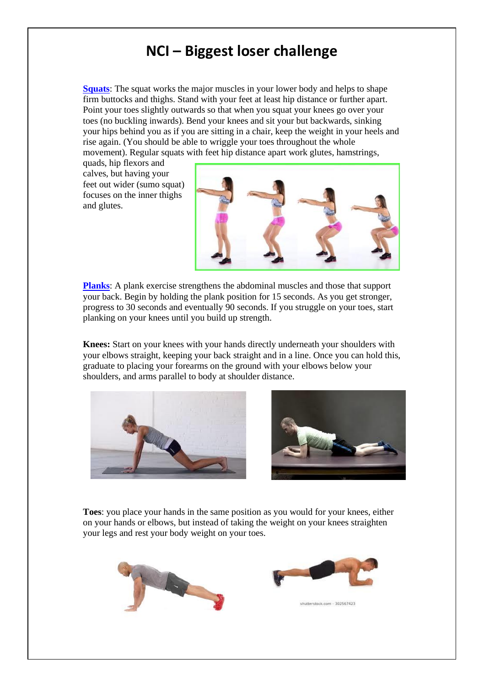**[Squats](https://www.verywellfit.com/safe-squat-technique-3119136)**: The squat works the major muscles in your lower body and helps to shape firm buttocks and thighs. Stand with your feet at least hip distance or further apart. Point your toes slightly outwards so that when you squat your knees go over your toes (no buckling inwards). Bend your knees and sit your but backwards, sinking your hips behind you as if you are sitting in a chair, keep the weight in your heels and rise again. (You should be able to wriggle your toes throughout the whole movement). Regular squats with feet hip distance apart work glutes, hamstrings,

quads, hip flexors and calves, but having your feet out wider (sumo squat) focuses on the inner thighs and glutes.



**[Planks](https://www.verywellfit.com/top-best-ab-exercises-1230723)**: A plank exercise strengthens the abdominal muscles and those that support your back. Begin by holding the plank position for 15 seconds. As you get stronger, progress to 30 seconds and eventually 90 seconds. If you struggle on your toes, start planking on your knees until you build up strength.

**Knees:** Start on your knees with your hands directly underneath your shoulders with your elbows straight, keeping your back straight and in a line. Once you can hold this, graduate to placing your forearms on the ground with your elbows below your shoulders, and arms parallel to body at shoulder distance.





**Toes**: [you place your hands in the sam](https://www.msn.com/en-us/health/exercise/strength/plank-with-knee-to-elbow/ss-BBtOagT)e position as you would for your knees, either on your hands or elbows, but instead of taking th[e weight on your knees straighten](https://www.google.co.nz/imgres?imgurl=https://image.shutterstock.com/image-photo/elbow-plank-isometric-stomach-exercise-260nw-302567423.jpg&imgrefurl=https://www.shutterstock.com/search/plank%2Bexercise&docid=94-390q0O70wcM&tbnid=aEF_rQlHIE4_5M:&vet=12ahUKEwir2_qZo8HeAhVBfSsKHeYqCu04yAEQMygOMA56BAgBEA8..i&w=390&h=280&safe=active&bih=624&biw=1422&q=plank%20on%20knees&ved=2ahUKEwir2_qZo8HeAhVBfSsKHeYqCu04yAEQMygOMA56BAgBEA8&iact=mrc&uact=8)  your legs and rest your body weight on your toes.

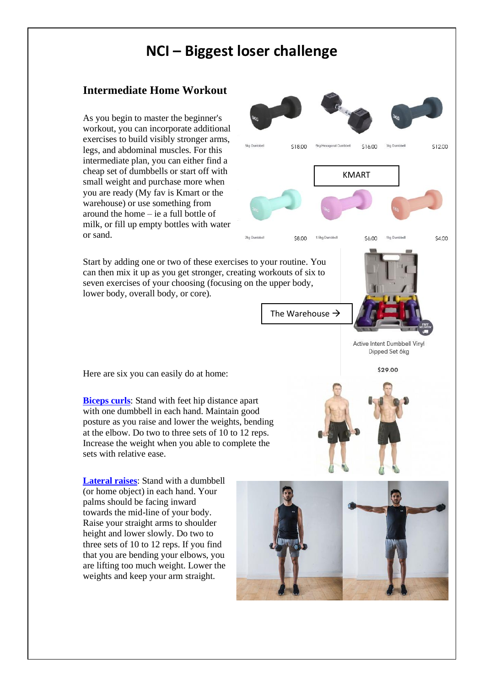#### **Intermediate Home Workout**

As you begin to master the beginner's workout, you can incorporate additional exercises to build visibly stronger arms, legs, and abdominal muscles. For this intermediate plan, you can either find a cheap set of dumbbells or start off with small weight and purchase more when you are ready (My fav is Kmart or the warehouse) or use something from around the home – ie a full bottle of milk, or fill up empty bottles with water or sand.



The Warehouse →

\$18.00

\$8.00

4 Sho Prombled

KMART

nal Dumbbell

\$16.00

\$6.00

**Active Intent Dumbbell Vinyl** Dipped Set 6kg \$29.00

\$12.00

\$4.00

Here are six you can easily do at home:

**[Biceps curls](https://www.verywellfit.com/strength-exercises-for-the-biceps-1231100):** Stand with feet hip distance apart with one dumbbell in each hand. Maintain good posture as you raise and lower the weights, bending at the elbow. Do two to three sets of 10 to 12 reps. Increase the weight when you able to complete the sets with relative ease.

**[Lateral raises](https://www.verywellfit.com/shoulder-exercises-1231107)**: Stand with a dumbbell (or home object) in each hand. Your palms should be facing inward towards the mid-line of your body. Raise your straight arms to shoulder height and lower slowly. Do two to three sets of 10 to 12 reps. If you find that you are bending your elbows, you are lifting too much weight. Lower the weights and keep your arm straight.

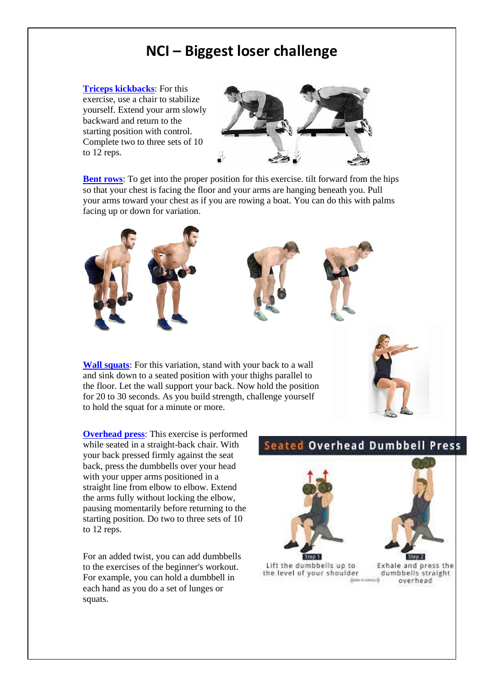**[Triceps kickbacks](https://www.verywellfit.com/most-effective-triceps-exercises-1231027)**: For this exercise, use a chair to stabilize yourself. Extend your arm slowly backward and return to the starting position with control. Complete two to three sets of 10 to 12 reps.



**[Bent rows](https://www.verywellfit.com/back-exercises-1231098)**: To get into the proper position for this exercise. tilt forward from the hips so that your chest is facing the floor and your arms are hanging beneath you. Pull your arms toward your chest as if you are rowing a boat. You can do this with palms facing up or down for variation.



**[Wall squats](https://www.verywellfit.com/squats-for-the-buns-hips-and-thighs-1231102)**: For this variation, stand with your back to a wall and sink down to a seated position with your thighs parallel to the floor. Let the wall support your back. Now hold the position for 20 to 30 seconds. As you build strength, challenge yourself to hold the squat for a minute or more.

**[Overhead press](https://www.verywellfit.com/shoulder-exercises-1231107)**: This exercise is performed while seated in a straight-back chair. With your back pressed firmly against the seat back, press the dumbbells over your head with your upper arms positioned in a straight line from elbow to elbow. Extend the arms fully without locking the elbow, pausing momentarily before returning to the starting position. Do two to three sets of 10 to 12 reps.

For an added twist, you can add dumbbells to the exercises of the beginner's workout. For example, you can hold a dumbbell in each hand as you do a set of lunges or squats.

#### **Seated Overhead Dumbbell Press**





Lift the dumbbells up to the level of your shoulder

Step 2 Exhale and press the dumbbells straight overhead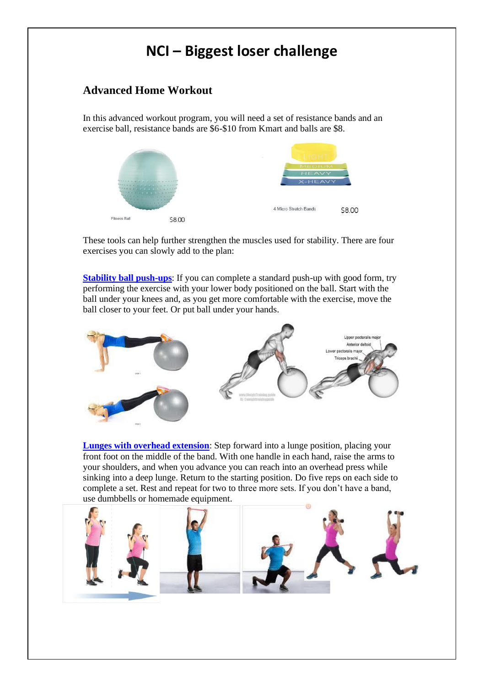#### **Advanced Home Workout**

In this advanced workout program, you will need a set of resistance bands and an exercise ball, resistance bands are \$6-\$10 from Kmart and balls are \$8.



These tools can help further strengthen the muscles used for stability. There are four exercises you can slowly add to the plan:

**[Stability ball push-ups](https://www.verywellfit.com/stability-ball-push-up-3120145)**: If you can complete a standard push-up with good form, try performing the exercise with your lower body positioned on the ball. Start with the ball under your knees and, as you get more comfortable with the exercise, move the ball closer to your feet. Or put ball under your hands.



**[Lunges with overhead extension](https://www.verywellfit.com/total-body-resistance-band-workout-traveling-1231517)**: Step forward into a lunge position, placing your front foot on the middle of the band. With one handle in each hand, raise the arms to your shoulders, and when you advance you can reach into an overhead press while sinking into a deep lunge. Return to the starting position. Do five reps on each side to complete a set. Rest and repeat for two to three more sets. If you don't have a band, use dumbbells or homemade equipment.